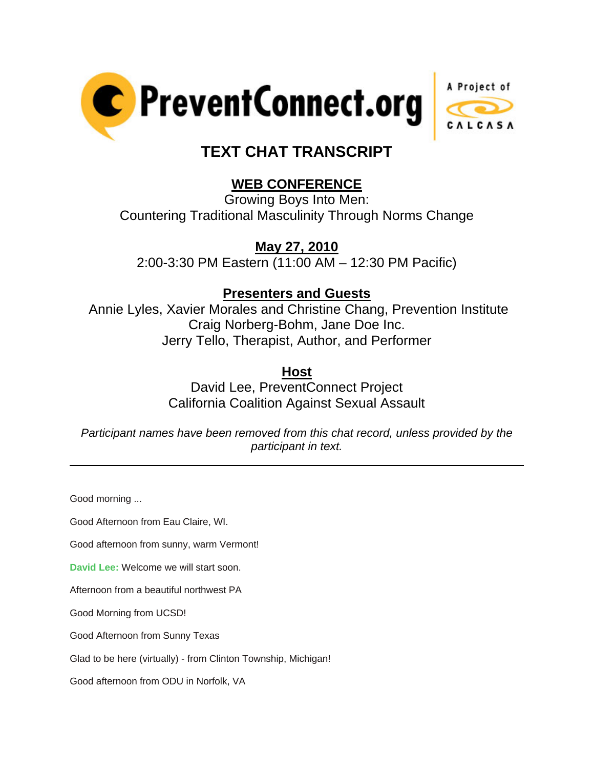



# **TEXT CHAT TRANSCRIPT**

# **WEB CONFERENCE**

Growing Boys Into Men: Countering Traditional Masculinity Through Norms Change

## **May 27, 2010**

2:00-3:30 PM Eastern (11:00 AM – 12:30 PM Pacific)

### **Presenters and Guests**

 Annie Lyles, Xavier Morales and Christine Chang, Prevention Institute Craig Norberg-Bohm, Jane Doe Inc. Jerry Tello, Therapist, Author, and Performer

**Host**

David Lee, PreventConnect Project California Coalition Against Sexual Assault

*Participant names have been removed from this chat record, unless provided by the participant in text.* 

Good morning ...

l

Good Afternoon from Eau Claire, WI.

Good afternoon from sunny, warm Vermont!

**David Lee:** Welcome we will start soon.

Afternoon from a beautiful northwest PA

Good Morning from UCSD!

Good Afternoon from Sunny Texas

Glad to be here (virtually) - from Clinton Township, Michigan!

Good afternoon from ODU in Norfolk, VA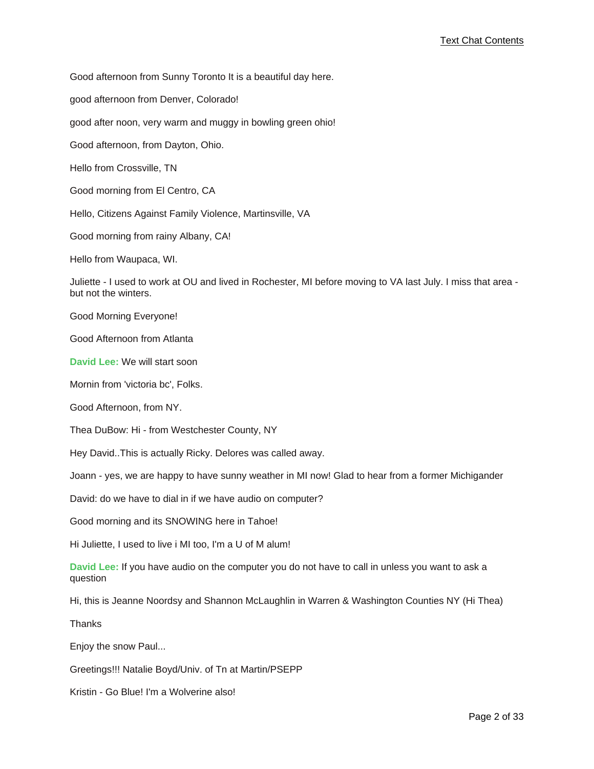Good afternoon from Sunny Toronto It is a beautiful day here.

good afternoon from Denver, Colorado!

good after noon, very warm and muggy in bowling green ohio!

Good afternoon, from Dayton, Ohio.

Hello from Crossville, TN

Good morning from El Centro, CA

Hello, Citizens Against Family Violence, Martinsville, VA

Good morning from rainy Albany, CA!

Hello from Waupaca, WI.

Juliette - I used to work at OU and lived in Rochester, MI before moving to VA last July. I miss that area but not the winters.

Good Morning Everyone!

Good Afternoon from Atlanta

**David Lee:** We will start soon

Mornin from 'victoria bc', Folks.

Good Afternoon, from NY.

Thea DuBow: Hi - from Westchester County, NY

Hey David..This is actually Ricky. Delores was called away.

Joann - yes, we are happy to have sunny weather in MI now! Glad to hear from a former Michigander

David: do we have to dial in if we have audio on computer?

Good morning and its SNOWING here in Tahoe!

Hi Juliette, I used to live i MI too, I'm a U of M alum!

**David Lee:** If you have audio on the computer you do not have to call in unless you want to ask a question

Hi, this is Jeanne Noordsy and Shannon McLaughlin in Warren & Washington Counties NY (Hi Thea)

**Thanks** 

Enjoy the snow Paul...

Greetings!!! Natalie Boyd/Univ. of Tn at Martin/PSEPP

Kristin - Go Blue! I'm a Wolverine also!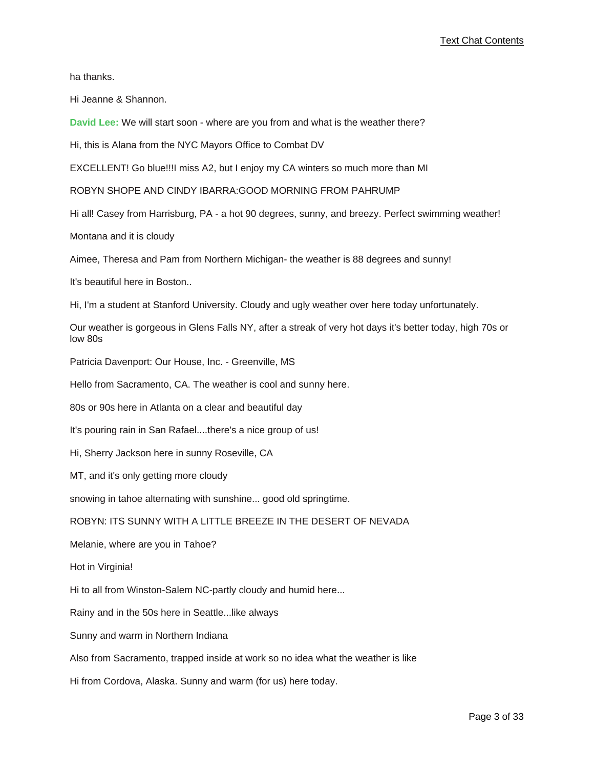ha thanks.

Hi Jeanne & Shannon.

**David Lee:** We will start soon - where are you from and what is the weather there?

Hi, this is Alana from the NYC Mayors Office to Combat DV

EXCELLENT! Go blue!!!I miss A2, but I enjoy my CA winters so much more than MI

ROBYN SHOPE AND CINDY IBARRA:GOOD MORNING FROM PAHRUMP

Hi all! Casey from Harrisburg, PA - a hot 90 degrees, sunny, and breezy. Perfect swimming weather!

Montana and it is cloudy

Aimee, Theresa and Pam from Northern Michigan- the weather is 88 degrees and sunny!

It's beautiful here in Boston..

Hi, I'm a student at Stanford University. Cloudy and ugly weather over here today unfortunately.

Our weather is gorgeous in Glens Falls NY, after a streak of very hot days it's better today, high 70s or low 80s

Patricia Davenport: Our House, Inc. - Greenville, MS

Hello from Sacramento, CA. The weather is cool and sunny here.

80s or 90s here in Atlanta on a clear and beautiful day

It's pouring rain in San Rafael....there's a nice group of us!

Hi, Sherry Jackson here in sunny Roseville, CA

MT, and it's only getting more cloudy

snowing in tahoe alternating with sunshine... good old springtime.

ROBYN: ITS SUNNY WITH A LITTLE BREEZE IN THE DESERT OF NEVADA

Melanie, where are you in Tahoe?

Hot in Virginia!

Hi to all from Winston-Salem NC-partly cloudy and humid here...

Rainy and in the 50s here in Seattle...like always

Sunny and warm in Northern Indiana

Also from Sacramento, trapped inside at work so no idea what the weather is like

Hi from Cordova, Alaska. Sunny and warm (for us) here today.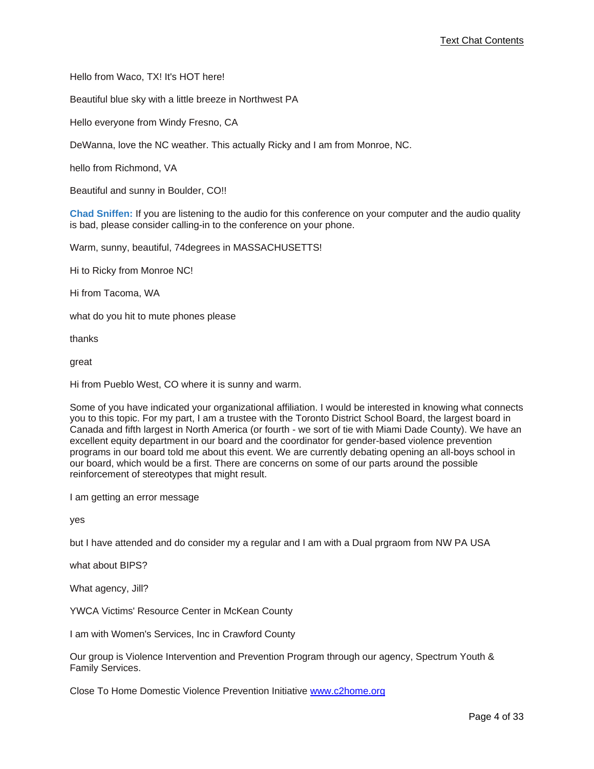Hello from Waco, TX! It's HOT here!

Beautiful blue sky with a little breeze in Northwest PA

Hello everyone from Windy Fresno, CA

DeWanna, love the NC weather. This actually Ricky and I am from Monroe, NC.

hello from Richmond, VA

Beautiful and sunny in Boulder, CO!!

**Chad Sniffen:** If you are listening to the audio for this conference on your computer and the audio quality is bad, please consider calling-in to the conference on your phone.

Warm, sunny, beautiful, 74degrees in MASSACHUSETTS!

Hi to Ricky from Monroe NC!

Hi from Tacoma, WA

what do you hit to mute phones please

thanks

great

Hi from Pueblo West, CO where it is sunny and warm.

Some of you have indicated your organizational affiliation. I would be interested in knowing what connects you to this topic. For my part, I am a trustee with the Toronto District School Board, the largest board in Canada and fifth largest in North America (or fourth - we sort of tie with Miami Dade County). We have an excellent equity department in our board and the coordinator for gender-based violence prevention programs in our board told me about this event. We are currently debating opening an all-boys school in our board, which would be a first. There are concerns on some of our parts around the possible reinforcement of stereotypes that might result.

I am getting an error message

yes

but I have attended and do consider my a regular and I am with a Dual prgraom from NW PA USA

what about BIPS?

What agency, Jill?

YWCA Victims' Resource Center in McKean County

I am with Women's Services, Inc in Crawford County

Our group is Violence Intervention and Prevention Program through our agency, Spectrum Youth & Family Services.

Close To Home Domestic Violence Prevention Initiative <www.c2home.org>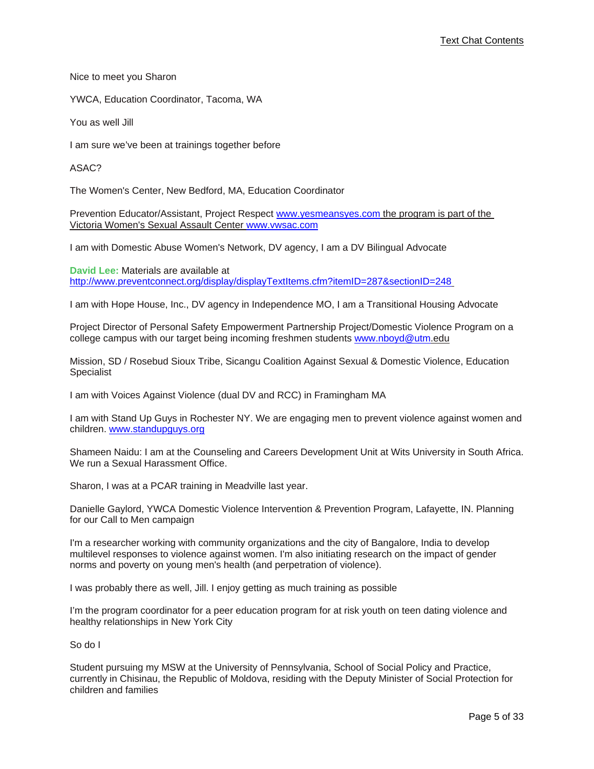Nice to meet you Sharon

YWCA, Education Coordinator, Tacoma, WA

You as well Jill

I am sure we've been at trainings together before

ASAC?

The Women's Center, New Bedford, MA, Education Coordinator

Prevention Educator/Assistant, Project Respect www.yesmeansyes.com the program is part of the [Victoria Women's Sexual Assault Center](www.yesmeansyes.com) <www.vwsac.com>

I am with Domestic Abuse Women's Network, DV agency, I am a DV Bilingual Advocate

**David Lee:** Materials are available at [http://www.preventconnect.org/display/displayTextItems.cfm?itemID=287&sectionID=248](http://www.preventconnect.org/display/displayTextItems.cfm?itemID=287§ionID=248)

I am with Hope House, Inc., DV agency in Independence MO, I am a Transitional Housing Advocate

Project Director of Personal Safety Empowerment Partnership Project/Domestic Violence Program on a college campus with our target being incoming freshmen students [www.nboyd@utm.edu](www.nboyd@utm)

Mission, SD / Rosebud Sioux Tribe, Sicangu Coalition Against Sexual & Domestic Violence, Education Specialist

I am with Voices Against Violence (dual DV and RCC) in Framingham MA

I am with Stand Up Guys in Rochester NY. We are engaging men to prevent violence against women and children. <www.standupguys.org>

Shameen Naidu: I am at the Counseling and Careers Development Unit at Wits University in South Africa. We run a Sexual Harassment Office.

Sharon, I was at a PCAR training in Meadville last year.

Danielle Gaylord, YWCA Domestic Violence Intervention & Prevention Program, Lafayette, IN. Planning for our Call to Men campaign

I'm a researcher working with community organizations and the city of Bangalore, India to develop multilevel responses to violence against women. I'm also initiating research on the impact of gender norms and poverty on young men's health (and perpetration of violence).

I was probably there as well, Jill. I enjoy getting as much training as possible

I'm the program coordinator for a peer education program for at risk youth on teen dating violence and healthy relationships in New York City

So do I

Student pursuing my MSW at the University of Pennsylvania, School of Social Policy and Practice, currently in Chisinau, the Republic of Moldova, residing with the Deputy Minister of Social Protection for children and families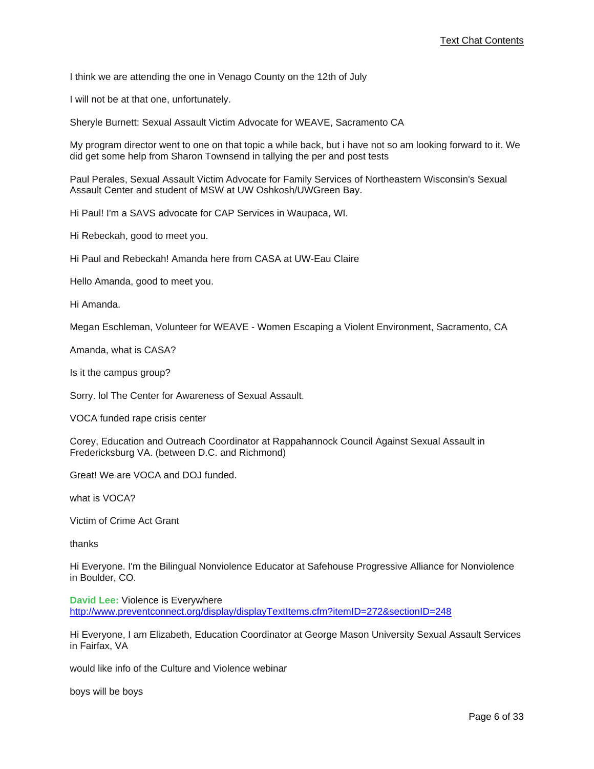I think we are attending the one in Venago County on the 12th of July

I will not be at that one, unfortunately.

Sheryle Burnett: Sexual Assault Victim Advocate for WEAVE, Sacramento CA

My program director went to one on that topic a while back, but i have not so am looking forward to it. We did get some help from Sharon Townsend in tallying the per and post tests

Paul Perales, Sexual Assault Victim Advocate for Family Services of Northeastern Wisconsin's Sexual Assault Center and student of MSW at UW Oshkosh/UWGreen Bay.

Hi Paul! I'm a SAVS advocate for CAP Services in Waupaca, WI.

Hi Rebeckah, good to meet you.

Hi Paul and Rebeckah! Amanda here from CASA at UW-Eau Claire

Hello Amanda, good to meet you.

Hi Amanda.

Megan Eschleman, Volunteer for WEAVE - Women Escaping a Violent Environment, Sacramento, CA

Amanda, what is CASA?

Is it the campus group?

Sorry. lol The Center for Awareness of Sexual Assault.

VOCA funded rape crisis center

Corey, Education and Outreach Coordinator at Rappahannock Council Against Sexual Assault in Fredericksburg VA. (between D.C. and Richmond)

Great! We are VOCA and DOJ funded.

what is VOCA?

Victim of Crime Act Grant

thanks

Hi Everyone. I'm the Bilingual Nonviolence Educator at Safehouse Progressive Alliance for Nonviolence in Boulder, CO.

**David Lee:** Violence is Everywhere [http://www.preventconnect.org/display/displayTextItems.cfm?itemID=272&sectionID=248](http://www.preventconnect.org/display/displayTextItems.cfm?itemID=272§ionID=248)

Hi Everyone, I am Elizabeth, Education Coordinator at George Mason University Sexual Assault Services in Fairfax, VA

would like info of the Culture and Violence webinar

boys will be boys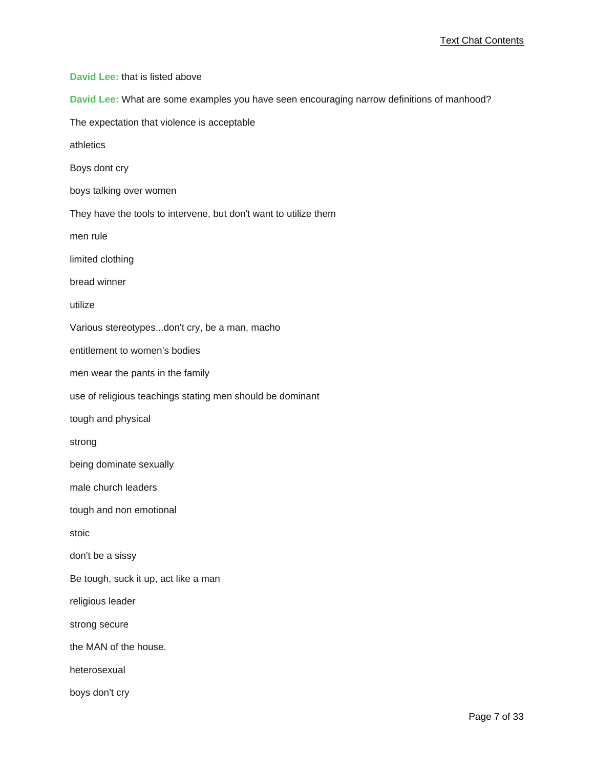**David Lee:** that is listed above

**David Lee:** What are some examples you have seen encouraging narrow definitions of manhood?

The expectation that violence is acceptable

athletics

Boys dont cry

boys talking over women

They have the tools to intervene, but don't want to utilize them

men rule

limited clothing

bread winner

utilize

Various stereotypes...don't cry, be a man, macho

entitlement to women's bodies

men wear the pants in the family

use of religious teachings stating men should be dominant

tough and physical

strong

being dominate sexually

male church leaders

tough and non emotional

stoic

don't be a sissy

Be tough, suck it up, act like a man

religious leader

strong secure

the MAN of the house.

heterosexual

boys don't cry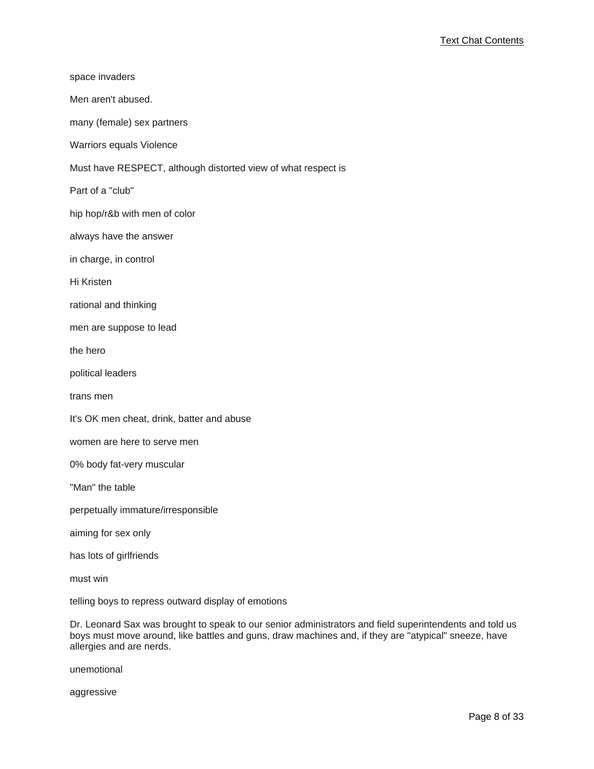| space invaders                                                |
|---------------------------------------------------------------|
| Men aren't abused.                                            |
| many (female) sex partners                                    |
| Warriors equals Violence                                      |
| Must have RESPECT, although distorted view of what respect is |
| Part of a "club"                                              |
| hip hop/r&b with men of color                                 |
| always have the answer                                        |
| in charge, in control                                         |
| Hi Kristen                                                    |
| rational and thinking                                         |
| men are suppose to lead                                       |
| the hero                                                      |
| political leaders                                             |
| trans men                                                     |
| It's OK men cheat, drink, batter and abuse                    |
| women are here to serve men                                   |
| 0% body fat-very muscular                                     |
| "Man" the table                                               |
| perpetually immature/irresponsible                            |
| aiming for sex only                                           |
| has lots of girlfriends                                       |
| must win                                                      |

telling boys to repress outward display of emotions

Dr. Leonard Sax was brought to speak to our senior administrators and field superintendents and told us boys must move around, like battles and guns, draw machines and, if they are "atypical" sneeze, have allergies and are nerds.

unemotional

aggressive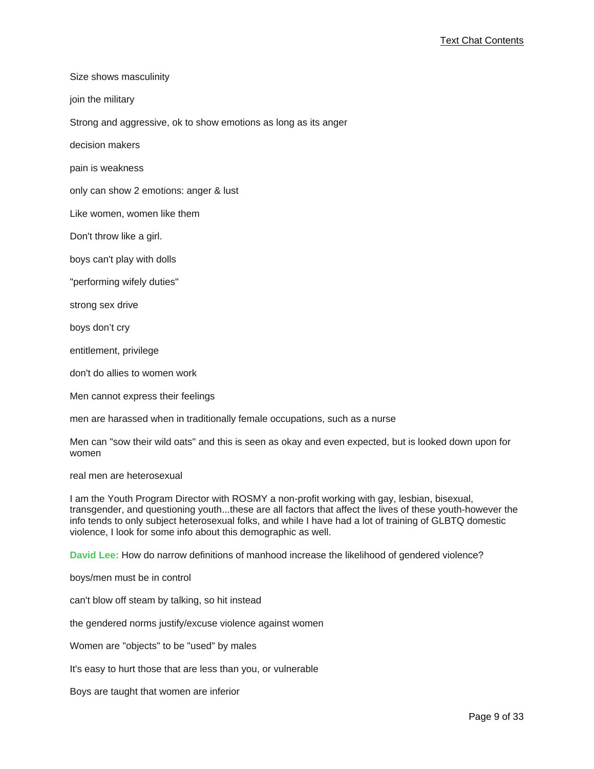Size shows masculinity

join the military

Strong and aggressive, ok to show emotions as long as its anger

decision makers

pain is weakness

only can show 2 emotions: anger & lust

Like women, women like them

Don't throw like a girl.

boys can't play with dolls

"performing wifely duties"

strong sex drive

boys don't cry

entitlement, privilege

don't do allies to women work

Men cannot express their feelings

men are harassed when in traditionally female occupations, such as a nurse

Men can "sow their wild oats" and this is seen as okay and even expected, but is looked down upon for women

real men are heterosexual

I am the Youth Program Director with ROSMY a non-profit working with gay, lesbian, bisexual, transgender, and questioning youth...these are all factors that affect the lives of these youth-however the info tends to only subject heterosexual folks, and while I have had a lot of training of GLBTQ domestic violence, I look for some info about this demographic as well.

**David Lee:** How do narrow definitions of manhood increase the likelihood of gendered violence?

boys/men must be in control

can't blow off steam by talking, so hit instead

the gendered norms justify/excuse violence against women

Women are "objects" to be "used" by males

It's easy to hurt those that are less than you, or vulnerable

Boys are taught that women are inferior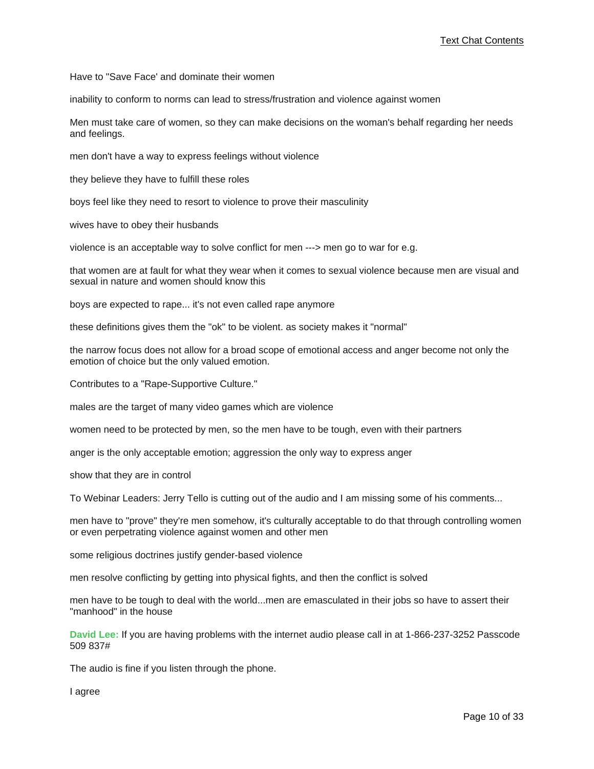Have to "Save Face' and dominate their women

inability to conform to norms can lead to stress/frustration and violence against women

Men must take care of women, so they can make decisions on the woman's behalf regarding her needs and feelings.

men don't have a way to express feelings without violence

they believe they have to fulfill these roles

boys feel like they need to resort to violence to prove their masculinity

wives have to obey their husbands

violence is an acceptable way to solve conflict for men ---> men go to war for e.g.

that women are at fault for what they wear when it comes to sexual violence because men are visual and sexual in nature and women should know this

boys are expected to rape... it's not even called rape anymore

these definitions gives them the "ok" to be violent. as society makes it "normal"

the narrow focus does not allow for a broad scope of emotional access and anger become not only the emotion of choice but the only valued emotion.

Contributes to a "Rape-Supportive Culture."

males are the target of many video games which are violence

women need to be protected by men, so the men have to be tough, even with their partners

anger is the only acceptable emotion; aggression the only way to express anger

show that they are in control

To Webinar Leaders: Jerry Tello is cutting out of the audio and I am missing some of his comments...

men have to "prove" they're men somehow, it's culturally acceptable to do that through controlling women or even perpetrating violence against women and other men

some religious doctrines justify gender-based violence

men resolve conflicting by getting into physical fights, and then the conflict is solved

men have to be tough to deal with the world...men are emasculated in their jobs so have to assert their "manhood" in the house

**David Lee:** If you are having problems with the internet audio please call in at 1-866-237-3252 Passcode 509 837#

The audio is fine if you listen through the phone.

I agree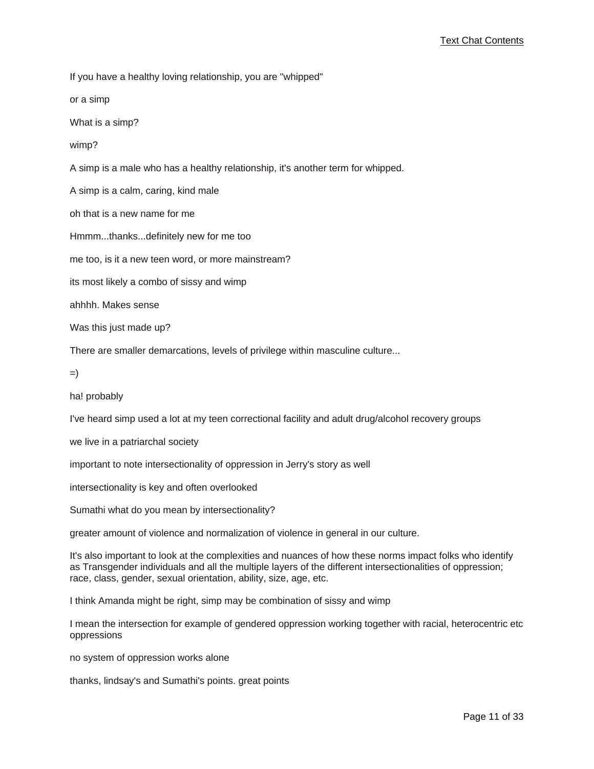If you have a healthy loving relationship, you are "whipped"

or a simp

What is a simp?

wimp?

A simp is a male who has a healthy relationship, it's another term for whipped.

A simp is a calm, caring, kind male

oh that is a new name for me

Hmmm...thanks...definitely new for me too

me too, is it a new teen word, or more mainstream?

its most likely a combo of sissy and wimp

ahhhh. Makes sense

Was this just made up?

There are smaller demarcations, levels of privilege within masculine culture...

=)

ha! probably

I've heard simp used a lot at my teen correctional facility and adult drug/alcohol recovery groups

we live in a patriarchal society

important to note intersectionality of oppression in Jerry's story as well

intersectionality is key and often overlooked

Sumathi what do you mean by intersectionality?

greater amount of violence and normalization of violence in general in our culture.

It's also important to look at the complexities and nuances of how these norms impact folks who identify as Transgender individuals and all the multiple layers of the different intersectionalities of oppression; race, class, gender, sexual orientation, ability, size, age, etc.

I think Amanda might be right, simp may be combination of sissy and wimp

I mean the intersection for example of gendered oppression working together with racial, heterocentric etc oppressions

no system of oppression works alone

thanks, lindsay's and Sumathi's points. great points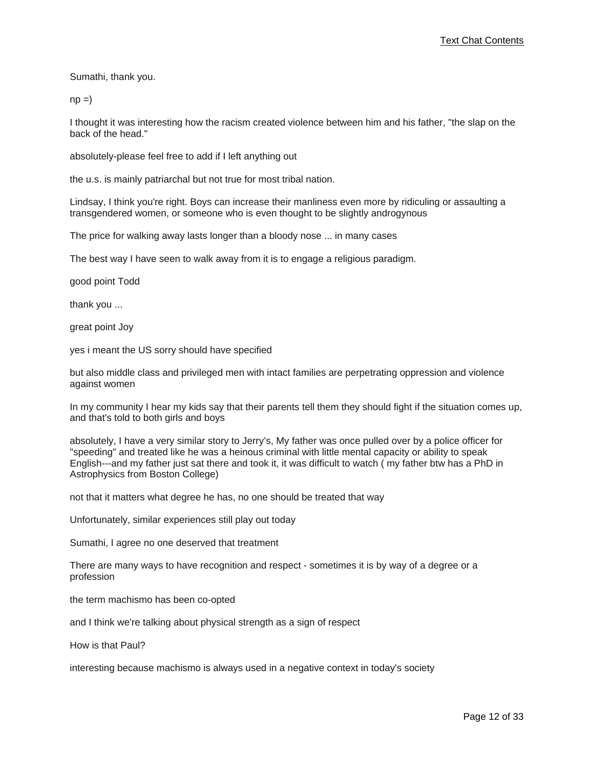Sumathi, thank you.

 $np =$ 

I thought it was interesting how the racism created violence between him and his father, "the slap on the back of the head."

absolutely-please feel free to add if I left anything out

the u.s. is mainly patriarchal but not true for most tribal nation.

Lindsay, I think you're right. Boys can increase their manliness even more by ridiculing or assaulting a transgendered women, or someone who is even thought to be slightly androgynous

The price for walking away lasts longer than a bloody nose ... in many cases

The best way I have seen to walk away from it is to engage a religious paradigm.

good point Todd

thank you ...

great point Joy

yes i meant the US sorry should have specified

but also middle class and privileged men with intact families are perpetrating oppression and violence against women

In my community I hear my kids say that their parents tell them they should fight if the situation comes up, and that's told to both girls and boys

absolutely, I have a very similar story to Jerry's, My father was once pulled over by a police officer for "speeding" and treated like he was a heinous criminal with little mental capacity or ability to speak English---and my father just sat there and took it, it was difficult to watch ( my father btw has a PhD in Astrophysics from Boston College)

not that it matters what degree he has, no one should be treated that way

Unfortunately, similar experiences still play out today

Sumathi, I agree no one deserved that treatment

There are many ways to have recognition and respect - sometimes it is by way of a degree or a profession

the term machismo has been co-opted

and I think we're talking about physical strength as a sign of respect

How is that Paul?

interesting because machismo is always used in a negative context in today's society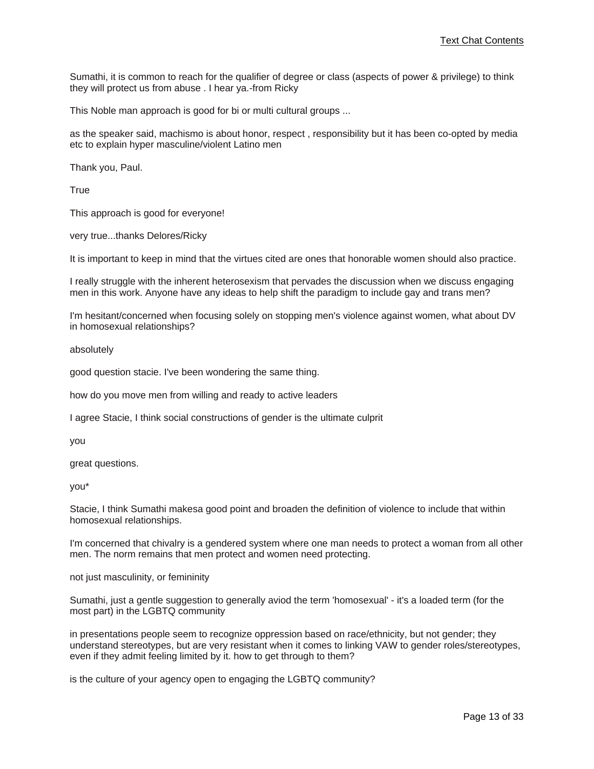Sumathi, it is common to reach for the qualifier of degree or class (aspects of power & privilege) to think they will protect us from abuse . I hear ya.-from Ricky

This Noble man approach is good for bi or multi cultural groups ...

as the speaker said, machismo is about honor, respect , responsibility but it has been co-opted by media etc to explain hyper masculine/violent Latino men

Thank you, Paul.

**True** 

This approach is good for everyone!

very true...thanks Delores/Ricky

It is important to keep in mind that the virtues cited are ones that honorable women should also practice.

I really struggle with the inherent heterosexism that pervades the discussion when we discuss engaging men in this work. Anyone have any ideas to help shift the paradigm to include gay and trans men?

I'm hesitant/concerned when focusing solely on stopping men's violence against women, what about DV in homosexual relationships?

absolutely

good question stacie. I've been wondering the same thing.

how do you move men from willing and ready to active leaders

I agree Stacie, I think social constructions of gender is the ultimate culprit

you

great questions.

you\*

Stacie, I think Sumathi makesa good point and broaden the definition of violence to include that within homosexual relationships.

I'm concerned that chivalry is a gendered system where one man needs to protect a woman from all other men. The norm remains that men protect and women need protecting.

not just masculinity, or femininity

Sumathi, just a gentle suggestion to generally aviod the term 'homosexual' - it's a loaded term (for the most part) in the LGBTQ community

in presentations people seem to recognize oppression based on race/ethnicity, but not gender; they understand stereotypes, but are very resistant when it comes to linking VAW to gender roles/stereotypes, even if they admit feeling limited by it. how to get through to them?

is the culture of your agency open to engaging the LGBTQ community?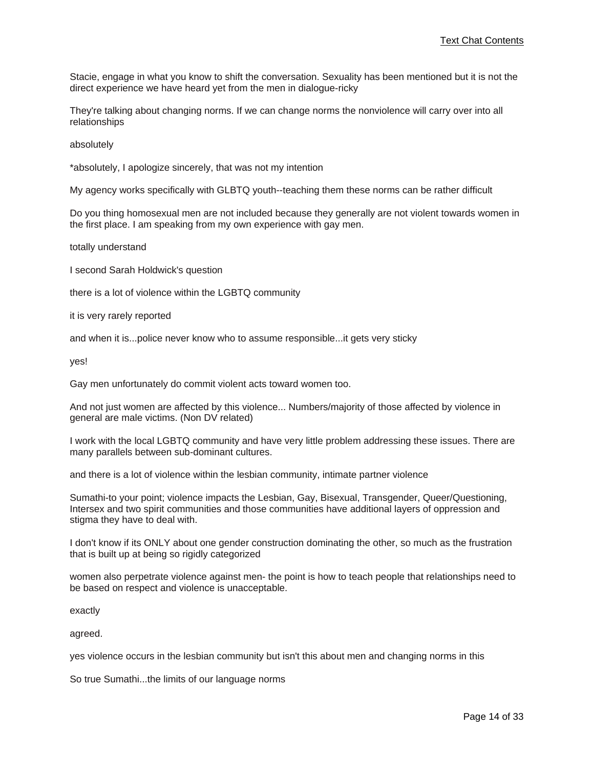Stacie, engage in what you know to shift the conversation. Sexuality has been mentioned but it is not the direct experience we have heard yet from the men in dialogue-ricky

They're talking about changing norms. If we can change norms the nonviolence will carry over into all relationships

absolutely

\*absolutely, I apologize sincerely, that was not my intention

My agency works specifically with GLBTQ youth--teaching them these norms can be rather difficult

Do you thing homosexual men are not included because they generally are not violent towards women in the first place. I am speaking from my own experience with gay men.

totally understand

I second Sarah Holdwick's question

there is a lot of violence within the LGBTQ community

it is very rarely reported

and when it is...police never know who to assume responsible...it gets very sticky

yes!

Gay men unfortunately do commit violent acts toward women too.

And not just women are affected by this violence... Numbers/majority of those affected by violence in general are male victims. (Non DV related)

I work with the local LGBTQ community and have very little problem addressing these issues. There are many parallels between sub-dominant cultures.

and there is a lot of violence within the lesbian community, intimate partner violence

Sumathi-to your point; violence impacts the Lesbian, Gay, Bisexual, Transgender, Queer/Questioning, Intersex and two spirit communities and those communities have additional layers of oppression and stigma they have to deal with.

I don't know if its ONLY about one gender construction dominating the other, so much as the frustration that is built up at being so rigidly categorized

women also perpetrate violence against men- the point is how to teach people that relationships need to be based on respect and violence is unacceptable.

exactly

agreed.

yes violence occurs in the lesbian community but isn't this about men and changing norms in this

So true Sumathi...the limits of our language norms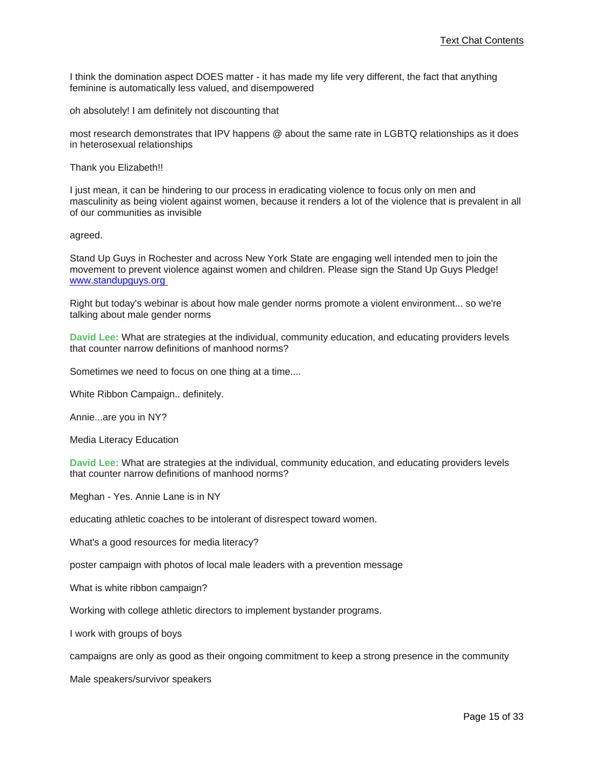I think the domination aspect DOES matter - it has made my life very different, the fact that anything feminine is automatically less valued, and disempowered

oh absolutely! I am definitely not discounting that

most research demonstrates that IPV happens @ about the same rate in LGBTQ relationships as it does in heterosexual relationships

Thank you Elizabeth!!

I just mean, it can be hindering to our process in eradicating violence to focus only on men and masculinity as being violent against women, because it renders a lot of the violence that is prevalent in all of our communities as invisible

agreed.

Stand Up Guys in Rochester and across New York State are engaging well intended men to join the movement to prevent [vi](www.standupguys.org)olence against women and children. Please sign the Stand Up Guys Pledge! <www.standupguys.org>

Right but today's webinar is about how male gender norms promote a violent environment... so we're talking about male gender norms

**David Lee:** What are strategies at the individual, community education, and educating providers levels that counter narrow definitions of manhood norms?

Sometimes we need to focus on one thing at a time....

White Ribbon Campaign.. definitely.

Annie...are you in NY?

Media Literacy Education

**David Lee:** What are strategies at the individual, community education, and educating providers levels that counter narrow definitions of manhood norms?

Meghan - Yes. Annie Lane is in NY

educating athletic coaches to be intolerant of disrespect toward women.

What's a good resources for media literacy?

poster campaign with photos of local male leaders with a prevention message

What is white ribbon campaign?

Working with college athletic directors to implement bystander programs.

I work with groups of boys

campaigns are only as good as their ongoing commitment to keep a strong presence in the community

Male speakers/survivor speakers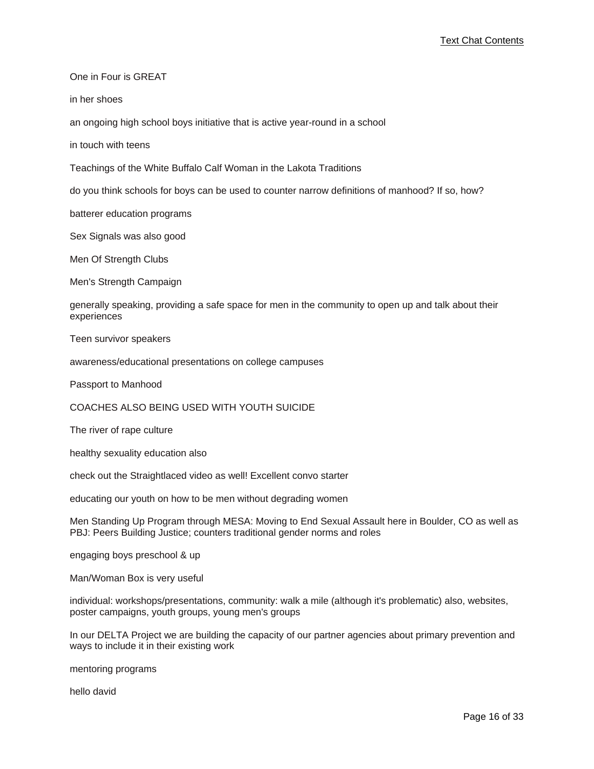One in Four is GREAT

in her shoes

an ongoing high school boys initiative that is active year-round in a school

in touch with teens

Teachings of the White Buffalo Calf Woman in the Lakota Traditions

do you think schools for boys can be used to counter narrow definitions of manhood? If so, how?

batterer education programs

Sex Signals was also good

Men Of Strength Clubs

Men's Strength Campaign

generally speaking, providing a safe space for men in the community to open up and talk about their experiences

Teen survivor speakers

awareness/educational presentations on college campuses

Passport to Manhood

COACHES ALSO BEING USED WITH YOUTH SUICIDE

The river of rape culture

healthy sexuality education also

check out the Straightlaced video as well! Excellent convo starter

educating our youth on how to be men without degrading women

Men Standing Up Program through MESA: Moving to End Sexual Assault here in Boulder, CO as well as PBJ: Peers Building Justice; counters traditional gender norms and roles

engaging boys preschool & up

Man/Woman Box is very useful

individual: workshops/presentations, community: walk a mile (although it's problematic) also, websites, poster campaigns, youth groups, young men's groups

In our DELTA Project we are building the capacity of our partner agencies about primary prevention and ways to include it in their existing work

mentoring programs

hello david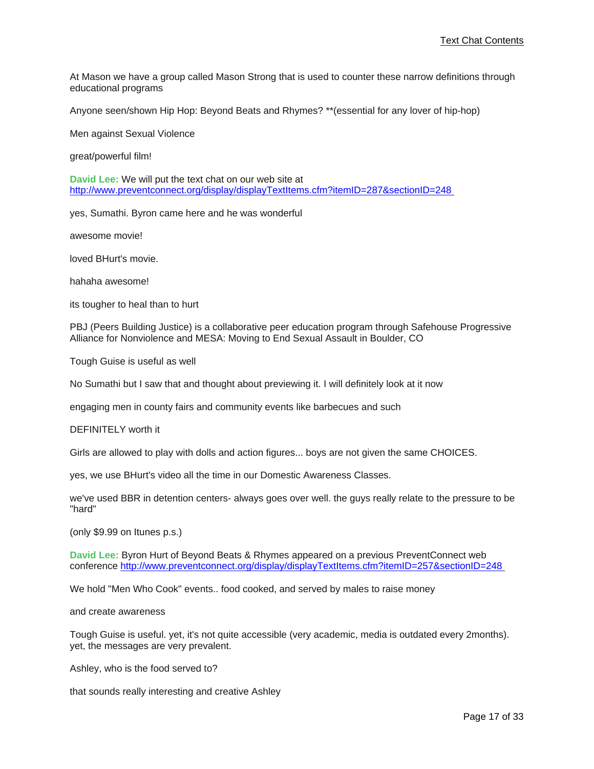At Mason we have a group called Mason Strong that is used to counter these narrow definitions through educational programs

Anyone seen/shown Hip Hop: Beyond Beats and Rhymes? \*\*(essential for any lover of hip-hop)

Men against Sexual Violence

great/powerful film!

**David Lee:** We will put the text chat on our web site at [http://www.preventconnect.org/display/displayTextItems.cfm?itemID=287&sectionID=248](http://www.preventconnect.org/display/displayTextItems.cfm?itemID=287§ionID=248)

yes, Sumathi. Byron came here and he was wonderful

awesome movie!

loved BHurt's movie.

hahaha awesome!

its tougher to heal than to hurt

PBJ (Peers Building Justice) is a collaborative peer education program through Safehouse Progressive Alliance for Nonviolence and MESA: Moving to End Sexual Assault in Boulder, CO

Tough Guise is useful as well

No Sumathi but I saw that and thought about previewing it. I will definitely look at it now

engaging men in county fairs and community events like barbecues and such

DEFINITELY worth it

Girls are allowed to play with dolls and action figures... boys are not given the same CHOICES.

yes, we use BHurt's video all the time in our Domestic Awareness Classes.

we've used BBR in detention centers- always goes over well. the guys really relate to the pressure to be "hard"

(only \$9.99 on Itunes p.s.)

**David Lee:** Byron Hurt of Beyond Beats & Rhymes appeared on a previous PreventConnect web conference [http://www.preventconnect.org/display/displayTextItems.cfm?itemID=257&sectionID=248](http://www.preventconnect.org/display/displayTextItems.cfm?itemID=257§ionID=248)

We hold "Men Who Cook" events.. food cooked, and served by males to raise money

and create awareness

Tough Guise is useful. yet, it's not quite accessible (very academic, media is outdated every 2months). yet, the messages are very prevalent.

Ashley, who is the food served to?

that sounds really interesting and creative Ashley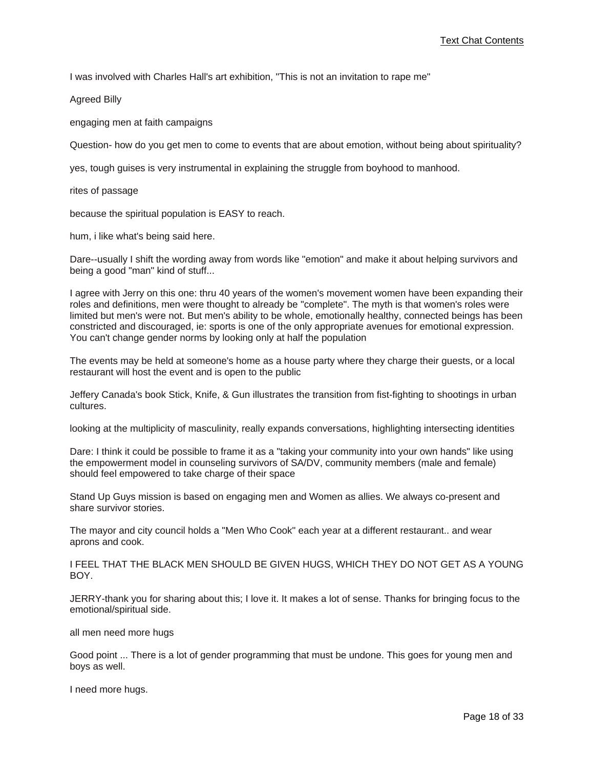I was involved with Charles Hall's art exhibition, "This is not an invitation to rape me"

Agreed Billy

engaging men at faith campaigns

Question- how do you get men to come to events that are about emotion, without being about spirituality?

yes, tough guises is very instrumental in explaining the struggle from boyhood to manhood.

rites of passage

because the spiritual population is EASY to reach.

hum, i like what's being said here.

Dare--usually I shift the wording away from words like "emotion" and make it about helping survivors and being a good "man" kind of stuff...

I agree with Jerry on this one: thru 40 years of the women's movement women have been expanding their roles and definitions, men were thought to already be "complete". The myth is that women's roles were limited but men's were not. But men's ability to be whole, emotionally healthy, connected beings has been constricted and discouraged, ie: sports is one of the only appropriate avenues for emotional expression. You can't change gender norms by looking only at half the population

The events may be held at someone's home as a house party where they charge their guests, or a local restaurant will host the event and is open to the public

Jeffery Canada's book Stick, Knife, & Gun illustrates the transition from fist-fighting to shootings in urban cultures.

looking at the multiplicity of masculinity, really expands conversations, highlighting intersecting identities

Dare: I think it could be possible to frame it as a "taking your community into your own hands" like using the empowerment model in counseling survivors of SA/DV, community members (male and female) should feel empowered to take charge of their space

Stand Up Guys mission is based on engaging men and Women as allies. We always co-present and share survivor stories.

The mayor and city council holds a "Men Who Cook" each year at a different restaurant.. and wear aprons and cook.

I FEEL THAT THE BLACK MEN SHOULD BE GIVEN HUGS, WHICH THEY DO NOT GET AS A YOUNG BOY.

JERRY-thank you for sharing about this; I love it. It makes a lot of sense. Thanks for bringing focus to the emotional/spiritual side.

all men need more hugs

Good point ... There is a lot of gender programming that must be undone. This goes for young men and boys as well.

I need more hugs.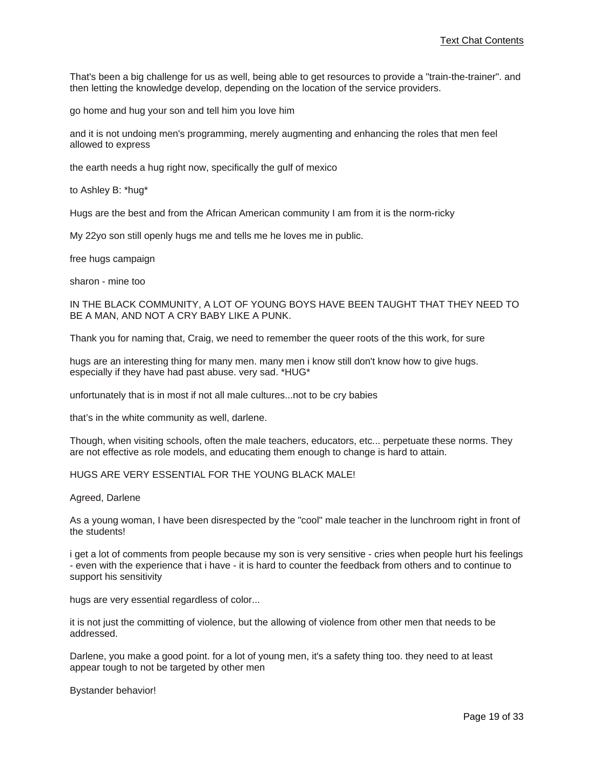That's been a big challenge for us as well, being able to get resources to provide a "train-the-trainer". and then letting the knowledge develop, depending on the location of the service providers.

go home and hug your son and tell him you love him

and it is not undoing men's programming, merely augmenting and enhancing the roles that men feel allowed to express

the earth needs a hug right now, specifically the gulf of mexico

to Ashley B: \*hug\*

Hugs are the best and from the African American community I am from it is the norm-ricky

My 22yo son still openly hugs me and tells me he loves me in public.

free hugs campaign

sharon - mine too

IN THE BLACK COMMUNITY, A LOT OF YOUNG BOYS HAVE BEEN TAUGHT THAT THEY NEED TO BE A MAN, AND NOT A CRY BABY LIKE A PUNK.

Thank you for naming that, Craig, we need to remember the queer roots of the this work, for sure

hugs are an interesting thing for many men. many men i know still don't know how to give hugs. especially if they have had past abuse. very sad. \*HUG\*

unfortunately that is in most if not all male cultures...not to be cry babies

that's in the white community as well, darlene.

Though, when visiting schools, often the male teachers, educators, etc... perpetuate these norms. They are not effective as role models, and educating them enough to change is hard to attain.

### HUGS ARE VERY ESSENTIAL FOR THE YOUNG BLACK MALE!

Agreed, Darlene

As a young woman, I have been disrespected by the "cool" male teacher in the lunchroom right in front of the students!

i get a lot of comments from people because my son is very sensitive - cries when people hurt his feelings - even with the experience that i have - it is hard to counter the feedback from others and to continue to support his sensitivity

hugs are very essential regardless of color...

it is not just the committing of violence, but the allowing of violence from other men that needs to be addressed.

Darlene, you make a good point. for a lot of young men, it's a safety thing too. they need to at least appear tough to not be targeted by other men

Bystander behavior!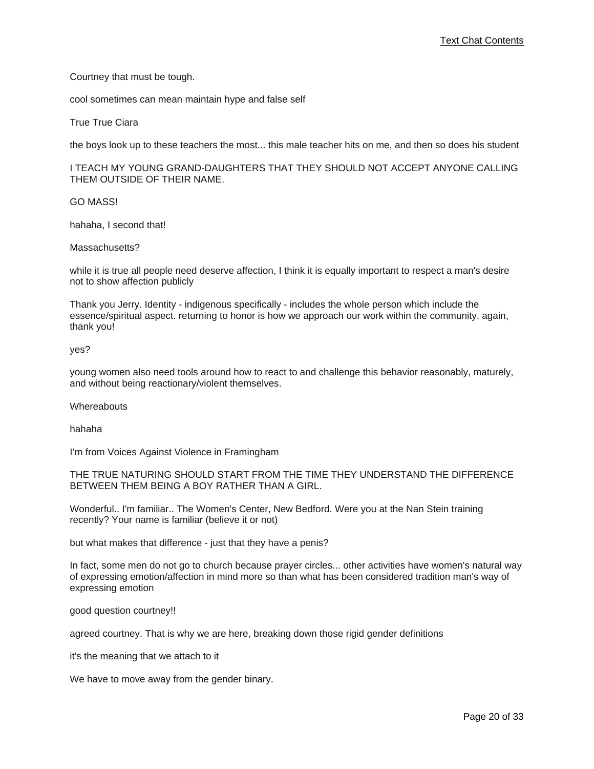Courtney that must be tough.

cool sometimes can mean maintain hype and false self

True True Ciara

the boys look up to these teachers the most... this male teacher hits on me, and then so does his student

I TEACH MY YOUNG GRAND-DAUGHTERS THAT THEY SHOULD NOT ACCEPT ANYONE CALLING THEM OUTSIDE OF THEIR NAME.

GO MASS!

hahaha, I second that!

Massachusetts?

while it is true all people need deserve affection, I think it is equally important to respect a man's desire not to show affection publicly

Thank you Jerry. Identity - indigenous specifically - includes the whole person which include the essence/spiritual aspect. returning to honor is how we approach our work within the community. again, thank you!

yes?

young women also need tools around how to react to and challenge this behavior reasonably, maturely, and without being reactionary/violent themselves.

**Whereabouts** 

hahaha

I'm from Voices Against Violence in Framingham

THE TRUE NATURING SHOULD START FROM THE TIME THEY UNDERSTAND THE DIFFERENCE BETWEEN THEM BEING A BOY RATHER THAN A GIRL.

Wonderful.. I'm familiar.. The Women's Center, New Bedford. Were you at the Nan Stein training recently? Your name is familiar (believe it or not)

but what makes that difference - just that they have a penis?

In fact, some men do not go to church because prayer circles... other activities have women's natural way of expressing emotion/affection in mind more so than what has been considered tradition man's way of expressing emotion

good question courtney!!

agreed courtney. That is why we are here, breaking down those rigid gender definitions

it's the meaning that we attach to it

We have to move away from the gender binary.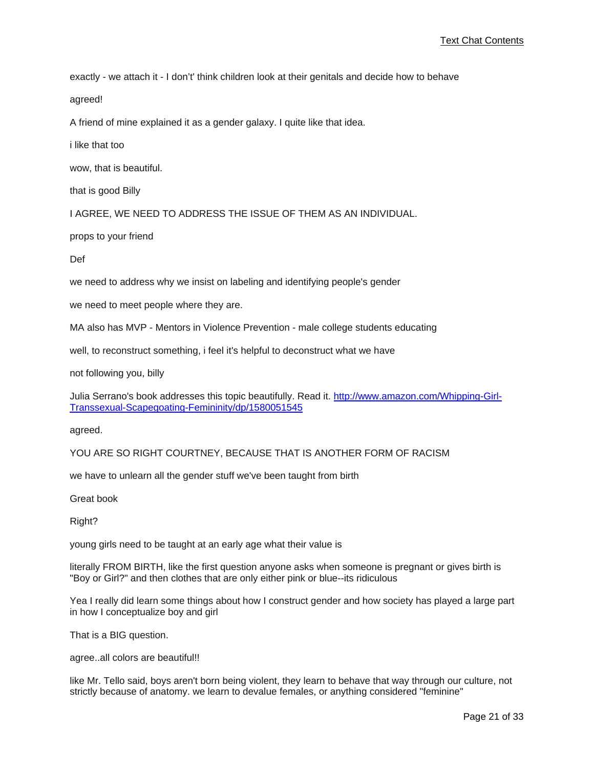exactly - we attach it - I don't' think children look at their genitals and decide how to behave

agreed!

A friend of mine explained it as a gender galaxy. I quite like that idea.

i like that too

wow, that is beautiful.

that is good Billy

I AGREE, WE NEED TO ADDRESS THE ISSUE OF THEM AS AN INDIVIDUAL.

props to your friend

Def

we need to address why we insist on labeling and identifying people's gender

we need to meet people where they are.

MA also has MVP - Mentors in Violence Prevention - male college students educating

well, to reconstruct something, i feel it's helpful to deconstruct what we have

not following you, billy

Julia Serrano's book addresses this topic beautifully. Read it. [http://www.amazon.com/Whipping-Girl-](http://www.amazon.com/Whipping-Girl-Transsexual-Scapegoating-Femininity/dp/1580051545)[Transsexual-Scapegoating-Femininity/dp/1580051545](http://www.amazon.com/Whipping-Girl-Transsexual-Scapegoating-Femininity/dp/1580051545)

agreed.

YOU ARE SO RIGHT COURTNEY, BECAUSE THAT IS ANOTHER FORM OF RACISM

we have to unlearn all the gender stuff we've been taught from birth

Great book

Right?

young girls need to be taught at an early age what their value is

literally FROM BIRTH, like the first question anyone asks when someone is pregnant or gives birth is "Boy or Girl?" and then clothes that are only either pink or blue--its ridiculous

Yea I really did learn some things about how I construct gender and how society has played a large part in how I conceptualize boy and girl

That is a BIG question.

agree..all colors are beautiful!!

like Mr. Tello said, boys aren't born being violent, they learn to behave that way through our culture, not strictly because of anatomy. we learn to devalue females, or anything considered "feminine"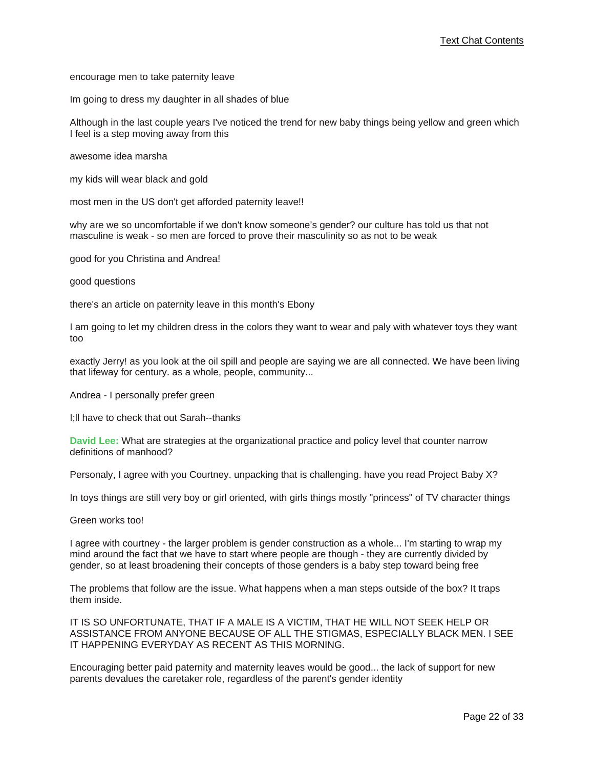encourage men to take paternity leave

Im going to dress my daughter in all shades of blue

Although in the last couple years I've noticed the trend for new baby things being yellow and green which I feel is a step moving away from this

awesome idea marsha

my kids will wear black and gold

most men in the US don't get afforded paternity leave!!

why are we so uncomfortable if we don't know someone's gender? our culture has told us that not masculine is weak - so men are forced to prove their masculinity so as not to be weak

good for you Christina and Andrea!

good questions

there's an article on paternity leave in this month's Ebony

I am going to let my children dress in the colors they want to wear and paly with whatever toys they want too

exactly Jerry! as you look at the oil spill and people are saying we are all connected. We have been living that lifeway for century. as a whole, people, community...

Andrea - I personally prefer green

I;ll have to check that out Sarah--thanks

**David Lee:** What are strategies at the organizational practice and policy level that counter narrow definitions of manhood?

Personaly, I agree with you Courtney. unpacking that is challenging. have you read Project Baby X?

In toys things are still very boy or girl oriented, with girls things mostly "princess" of TV character things

Green works too!

I agree with courtney - the larger problem is gender construction as a whole... I'm starting to wrap my mind around the fact that we have to start where people are though - they are currently divided by gender, so at least broadening their concepts of those genders is a baby step toward being free

The problems that follow are the issue. What happens when a man steps outside of the box? It traps them inside.

IT IS SO UNFORTUNATE, THAT IF A MALE IS A VICTIM, THAT HE WILL NOT SEEK HELP OR ASSISTANCE FROM ANYONE BECAUSE OF ALL THE STIGMAS, ESPECIALLY BLACK MEN. I SEE IT HAPPENING EVERYDAY AS RECENT AS THIS MORNING.

Encouraging better paid paternity and maternity leaves would be good... the lack of support for new parents devalues the caretaker role, regardless of the parent's gender identity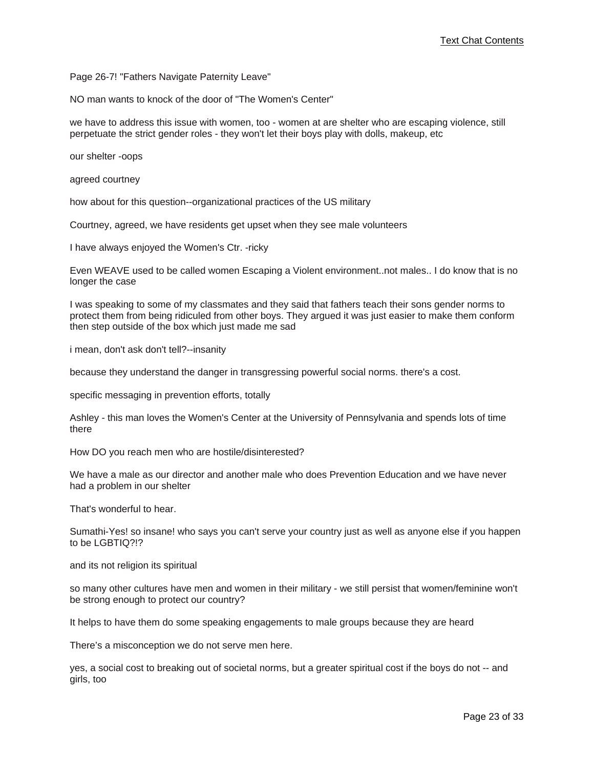Page 26-7! "Fathers Navigate Paternity Leave"

NO man wants to knock of the door of "The Women's Center"

we have to address this issue with women, too - women at are shelter who are escaping violence, still perpetuate the strict gender roles - they won't let their boys play with dolls, makeup, etc

our shelter -oops

agreed courtney

how about for this question--organizational practices of the US military

Courtney, agreed, we have residents get upset when they see male volunteers

I have always enjoyed the Women's Ctr. -ricky

Even WEAVE used to be called women Escaping a Violent environment..not males.. I do know that is no longer the case

I was speaking to some of my classmates and they said that fathers teach their sons gender norms to protect them from being ridiculed from other boys. They argued it was just easier to make them conform then step outside of the box which just made me sad

i mean, don't ask don't tell?--insanity

because they understand the danger in transgressing powerful social norms. there's a cost.

specific messaging in prevention efforts, totally

Ashley - this man loves the Women's Center at the University of Pennsylvania and spends lots of time there

How DO you reach men who are hostile/disinterested?

We have a male as our director and another male who does Prevention Education and we have never had a problem in our shelter

That's wonderful to hear.

Sumathi-Yes! so insane! who says you can't serve your country just as well as anyone else if you happen to be LGBTIQ?!?

and its not religion its spiritual

so many other cultures have men and women in their military - we still persist that women/feminine won't be strong enough to protect our country?

It helps to have them do some speaking engagements to male groups because they are heard

There's a misconception we do not serve men here.

yes, a social cost to breaking out of societal norms, but a greater spiritual cost if the boys do not -- and girls, too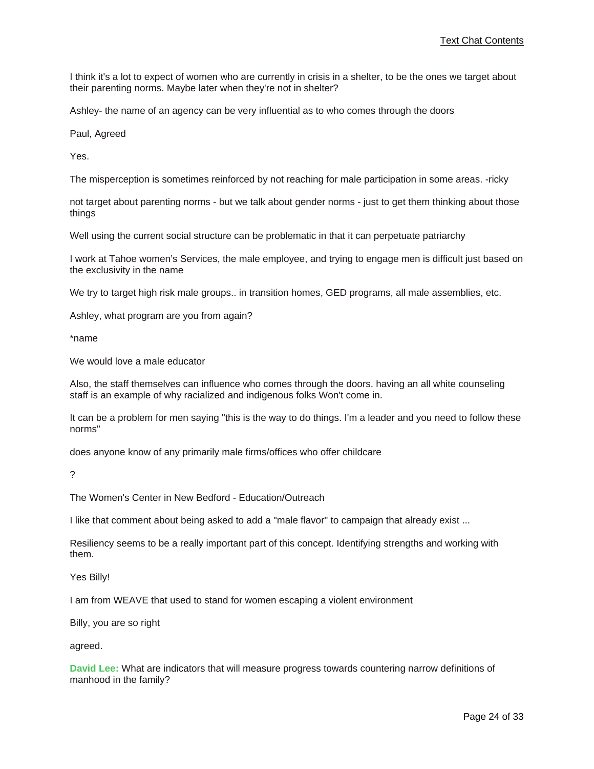I think it's a lot to expect of women who are currently in crisis in a shelter, to be the ones we target about their parenting norms. Maybe later when they're not in shelter?

Ashley- the name of an agency can be very influential as to who comes through the doors

Paul, Agreed

Yes.

The misperception is sometimes reinforced by not reaching for male participation in some areas. -ricky

not target about parenting norms - but we talk about gender norms - just to get them thinking about those things

Well using the current social structure can be problematic in that it can perpetuate patriarchy

I work at Tahoe women's Services, the male employee, and trying to engage men is difficult just based on the exclusivity in the name

We try to target high risk male groups.. in transition homes, GED programs, all male assemblies, etc.

Ashley, what program are you from again?

\*name

We would love a male educator

Also, the staff themselves can influence who comes through the doors. having an all white counseling staff is an example of why racialized and indigenous folks Won't come in.

It can be a problem for men saying "this is the way to do things. I'm a leader and you need to follow these norms"

does anyone know of any primarily male firms/offices who offer childcare

?

The Women's Center in New Bedford - Education/Outreach

I like that comment about being asked to add a "male flavor" to campaign that already exist ...

Resiliency seems to be a really important part of this concept. Identifying strengths and working with them.

Yes Billy!

I am from WEAVE that used to stand for women escaping a violent environment

Billy, you are so right

agreed.

**David Lee:** What are indicators that will measure progress towards countering narrow definitions of manhood in the family?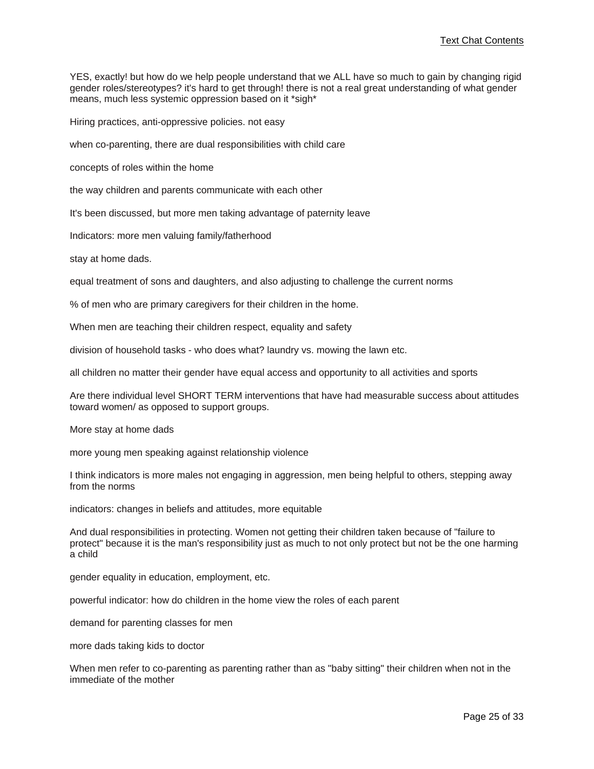YES, exactly! but how do we help people understand that we ALL have so much to gain by changing rigid gender roles/stereotypes? it's hard to get through! there is not a real great understanding of what gender means, much less systemic oppression based on it \*sigh\*

Hiring practices, anti-oppressive policies. not easy

when co-parenting, there are dual responsibilities with child care

concepts of roles within the home

the way children and parents communicate with each other

It's been discussed, but more men taking advantage of paternity leave

Indicators: more men valuing family/fatherhood

stay at home dads.

equal treatment of sons and daughters, and also adjusting to challenge the current norms

% of men who are primary caregivers for their children in the home.

When men are teaching their children respect, equality and safety

division of household tasks - who does what? laundry vs. mowing the lawn etc.

all children no matter their gender have equal access and opportunity to all activities and sports

Are there individual level SHORT TERM interventions that have had measurable success about attitudes toward women/ as opposed to support groups.

More stay at home dads

more young men speaking against relationship violence

I think indicators is more males not engaging in aggression, men being helpful to others, stepping away from the norms

indicators: changes in beliefs and attitudes, more equitable

And dual responsibilities in protecting. Women not getting their children taken because of "failure to protect" because it is the man's responsibility just as much to not only protect but not be the one harming a child

gender equality in education, employment, etc.

powerful indicator: how do children in the home view the roles of each parent

demand for parenting classes for men

more dads taking kids to doctor

When men refer to co-parenting as parenting rather than as "baby sitting" their children when not in the immediate of the mother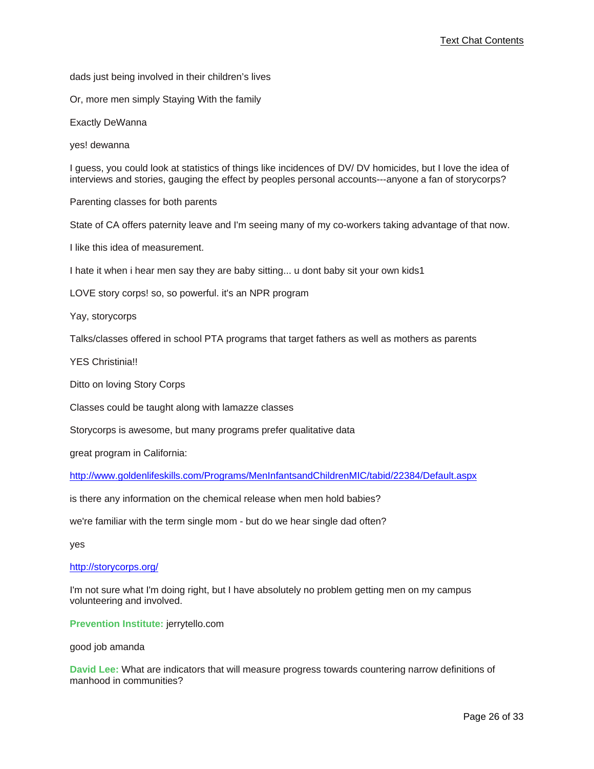dads just being involved in their children's lives

Or, more men simply Staying With the family

Exactly DeWanna

yes! dewanna

I guess, you could look at statistics of things like incidences of DV/ DV homicides, but I love the idea of interviews and stories, gauging the effect by peoples personal accounts---anyone a fan of storycorps?

Parenting classes for both parents

State of CA offers paternity leave and I'm seeing many of my co-workers taking advantage of that now.

I like this idea of measurement.

I hate it when i hear men say they are baby sitting... u dont baby sit your own kids1

LOVE story corps! so, so powerful. it's an NPR program

Yay, storycorps

Talks/classes offered in school PTA programs that target fathers as well as mothers as parents

YES Christinia!!

Ditto on loving Story Corps

Classes could be taught along with lamazze classes

Storycorps is awesome, but many programs prefer qualitative data

great program in California:

<http://www.goldenlifeskills.com/Programs/MenInfantsandChildrenMIC/tabid/22384/Default.aspx>

is there any information on the chemical release when men hold babies?

we're familiar with the term single mom - but do we hear single dad often?

yes

#### <http://storycorps.org/>

I'm not sure what I'm doing right, but I have absolutely no problem getting men on my campus volunteering and involved.

**Prevention Institute:** jerrytello.com

good job amanda

**David Lee:** What are indicators that will measure progress towards countering narrow definitions of manhood in communities?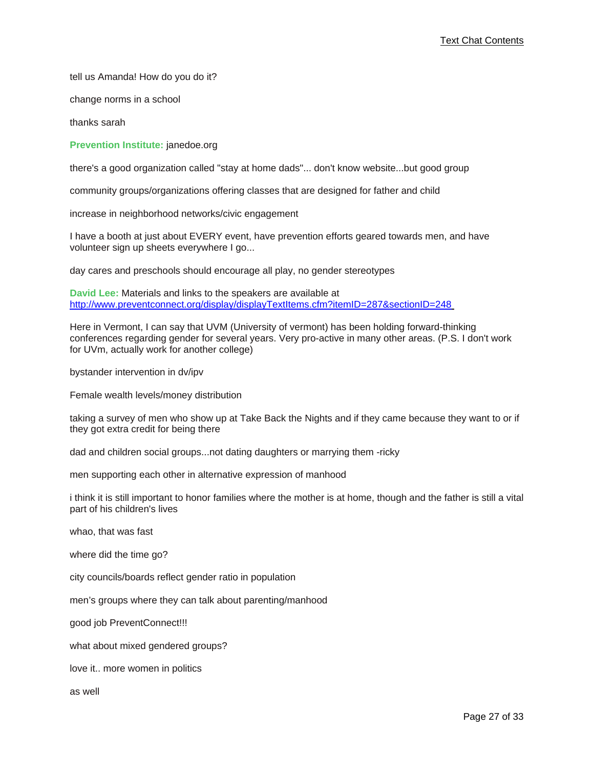tell us Amanda! How do you do it?

change norms in a school

thanks sarah

**Prevention Institute:** janedoe.org

there's a good organization called "stay at home dads"... don't know website...but good group

community groups/organizations offering classes that are designed for father and child

increase in neighborhood networks/civic engagement

I have a booth at just about EVERY event, have prevention efforts geared towards men, and have volunteer sign up sheets everywhere I go...

day cares and preschools should encourage all play, no gender stereotypes

**David Lee:** Materials and links to the speakers are available at [http://www.preventconnect.org/display/displayTextItems.cfm?itemID=287&sectionID=248](http://www.preventconnect.org/display/displayTextItems.cfm?itemID=287§ionID=248)

Here in Vermont, I can say that UVM (University of vermont) has been holding forward-thinking conferences regarding gender for several years. Very pro-active in many other areas. (P.S. I don't work for UVm, actually work for another college)

bystander intervention in dv/ipv

Female wealth levels/money distribution

taking a survey of men who show up at Take Back the Nights and if they came because they want to or if they got extra credit for being there

dad and children social groups...not dating daughters or marrying them -ricky

men supporting each other in alternative expression of manhood

i think it is still important to honor families where the mother is at home, though and the father is still a vital part of his children's lives

whao, that was fast

where did the time go?

city councils/boards reflect gender ratio in population

men's groups where they can talk about parenting/manhood

good job PreventConnect!!!

what about mixed gendered groups?

love it.. more women in politics

as well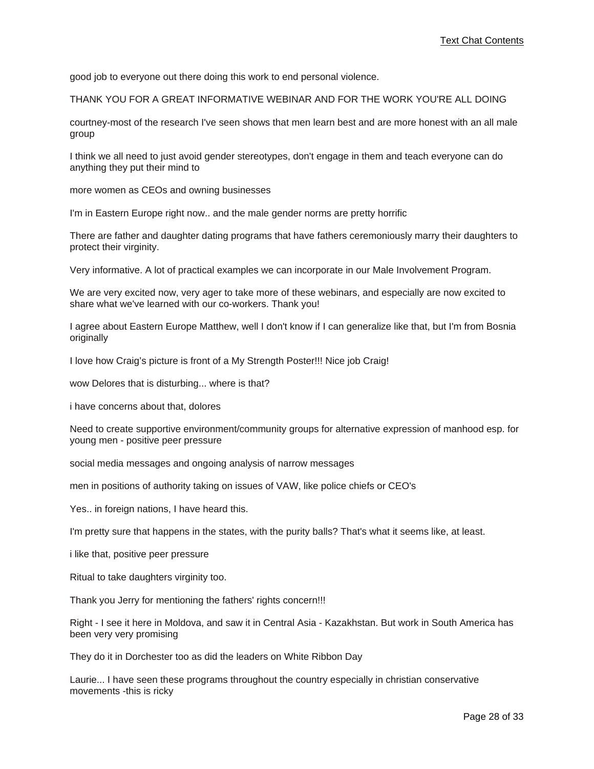good job to everyone out there doing this work to end personal violence.

THANK YOU FOR A GREAT INFORMATIVE WEBINAR AND FOR THE WORK YOU'RE ALL DOING

courtney-most of the research I've seen shows that men learn best and are more honest with an all male group

I think we all need to just avoid gender stereotypes, don't engage in them and teach everyone can do anything they put their mind to

more women as CEOs and owning businesses

I'm in Eastern Europe right now.. and the male gender norms are pretty horrific

There are father and daughter dating programs that have fathers ceremoniously marry their daughters to protect their virginity.

Very informative. A lot of practical examples we can incorporate in our Male Involvement Program.

We are very excited now, very ager to take more of these webinars, and especially are now excited to share what we've learned with our co-workers. Thank you!

I agree about Eastern Europe Matthew, well I don't know if I can generalize like that, but I'm from Bosnia originally

I love how Craig's picture is front of a My Strength Poster!!! Nice job Craig!

wow Delores that is disturbing... where is that?

i have concerns about that, dolores

Need to create supportive environment/community groups for alternative expression of manhood esp. for young men - positive peer pressure

social media messages and ongoing analysis of narrow messages

men in positions of authority taking on issues of VAW, like police chiefs or CEO's

Yes.. in foreign nations, I have heard this.

I'm pretty sure that happens in the states, with the purity balls? That's what it seems like, at least.

i like that, positive peer pressure

Ritual to take daughters virginity too.

Thank you Jerry for mentioning the fathers' rights concern!!!

Right - I see it here in Moldova, and saw it in Central Asia - Kazakhstan. But work in South America has been very very promising

They do it in Dorchester too as did the leaders on White Ribbon Day

Laurie... I have seen these programs throughout the country especially in christian conservative movements -this is ricky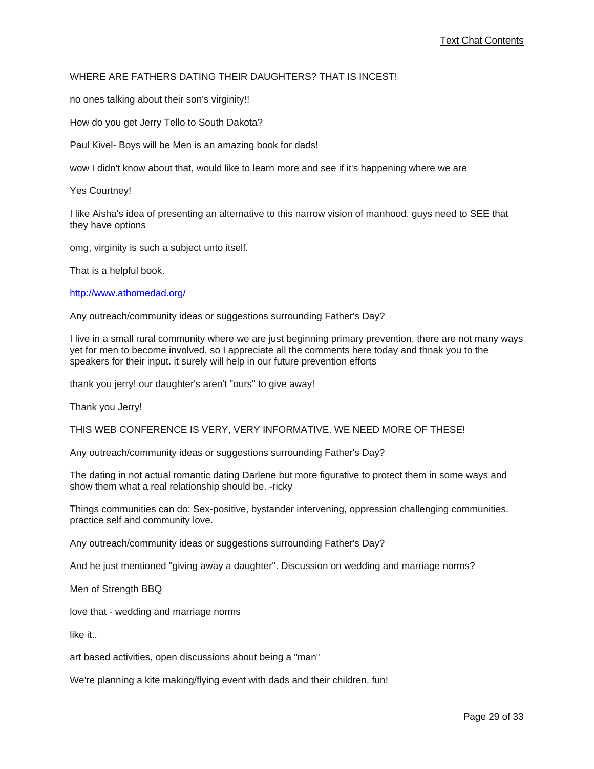### WHERE ARE FATHERS DATING THEIR DAUGHTERS? THAT IS INCEST!

no ones talking about their son's virginity!!

How do you get Jerry Tello to South Dakota?

Paul Kivel- Boys will be Men is an amazing book for dads!

wow I didn't know about that, would like to learn more and see if it's happening where we are

Yes Courtney!

I like Aisha's idea of presenting an alternative to this narrow vision of manhood. guys need to SEE that they have options

omg, virginity is such a subject unto itself.

That is a helpful book.

<http://www.athomedad.org/>

Any outreach/community ideas or suggestions surrounding Father's Day?

I live in a small rural community where we are just beginning primary prevention, there are not many ways yet for men to become involved, so I appreciate all the comments here today and thnak you to the speakers for their input. it surely will help in our future prevention efforts

thank you jerry! our daughter's aren't "ours" to give away!

Thank you Jerry!

THIS WEB CONFERENCE IS VERY, VERY INFORMATIVE. WE NEED MORE OF THESE!

Any outreach/community ideas or suggestions surrounding Father's Day?

The dating in not actual romantic dating Darlene but more figurative to protect them in some ways and show them what a real relationship should be. -ricky

Things communities can do: Sex-positive, bystander intervening, oppression challenging communities. practice self and community love.

Any outreach/community ideas or suggestions surrounding Father's Day?

And he just mentioned "giving away a daughter". Discussion on wedding and marriage norms?

Men of Strength BBQ

love that - wedding and marriage norms

like it..

art based activities, open discussions about being a "man"

We're planning a kite making/flying event with dads and their children. fun!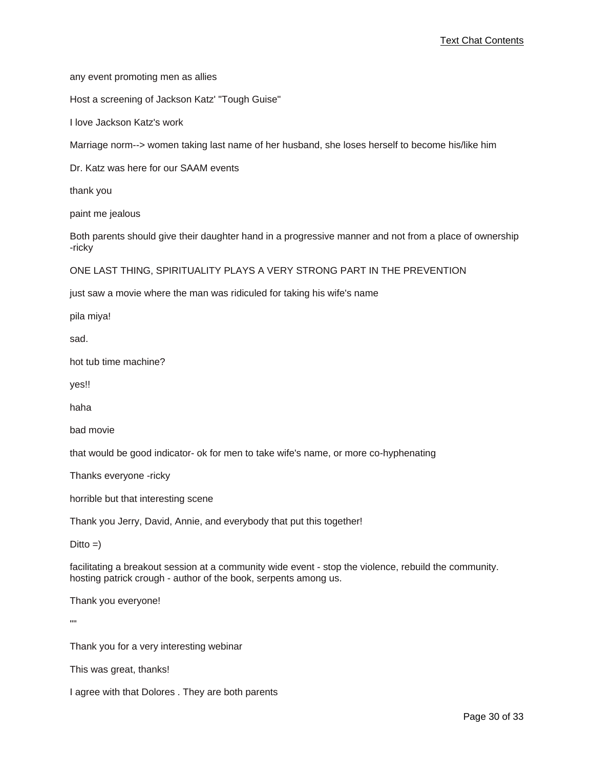any event promoting men as allies

Host a screening of Jackson Katz' "Tough Guise"

I love Jackson Katz's work

Marriage norm--> women taking last name of her husband, she loses herself to become his/like him

Dr. Katz was here for our SAAM events

thank you

paint me jealous

Both parents should give their daughter hand in a progressive manner and not from a place of ownership -ricky

ONE LAST THING, SPIRITUALITY PLAYS A VERY STRONG PART IN THE PREVENTION

just saw a movie where the man was ridiculed for taking his wife's name

pila miya!

sad.

hot tub time machine?

yes!!

haha

bad movie

that would be good indicator- ok for men to take wife's name, or more co-hyphenating

Thanks everyone -ricky

horrible but that interesting scene

Thank you Jerry, David, Annie, and everybody that put this together!

 $Ditto =)$ 

facilitating a breakout session at a community wide event - stop the violence, rebuild the community. hosting patrick crough - author of the book, serpents among us.

Thank you everyone!

""

Thank you for a very interesting webinar

This was great, thanks!

I agree with that Dolores . They are both parents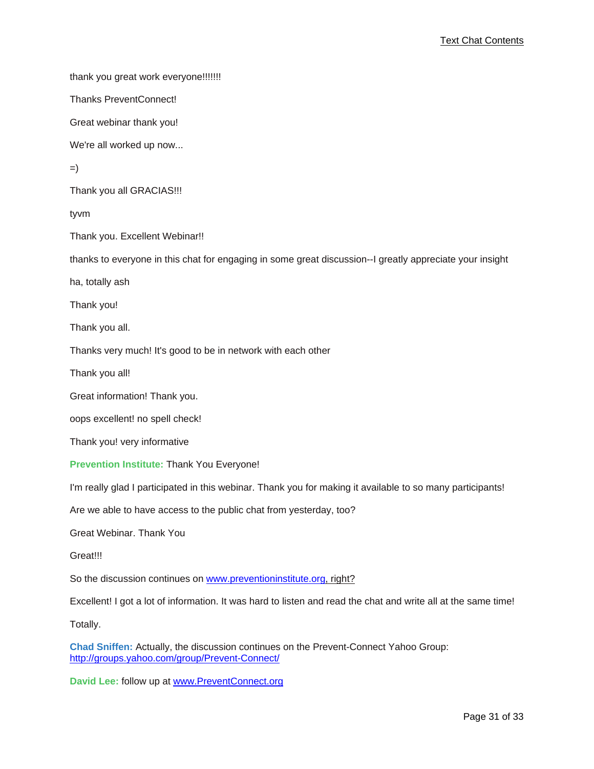thank you great work everyone!!!!!!!

Thanks PreventConnect!

Great webinar thank you!

We're all worked up now...

=)

Thank you all GRACIAS!!!

tyvm

Thank you. Excellent Webinar!!

thanks to everyone in this chat for engaging in some great discussion--I greatly appreciate your insight

ha, totally ash

Thank you!

Thank you all.

Thanks very much! It's good to be in network with each other

Thank you all!

Great information! Thank you.

oops excellent! no spell check!

Thank you! very informative

**Prevention Institute:** Thank You Everyone!

I'm really glad I participated in this webinar. Thank you for making it available to so many participants!

Are we able to have access to the public chat from yesterday, too?

Great Webinar. Thank You

Great!!!

So the discussion continues on [www.preventioninstitute.org, right?](www.preventioninstitute.org)

Excellent! I got a lot of information. It was hard to listen and read the chat and write all at the same time!

Totally.

**Chad Sniffen:** Actually, the discussion continues on the Prevent-Connect Yahoo Group: <http://groups.yahoo.com/group/Prevent-Connect/>

**David Lee:** follow up at <www.PreventConnect.org>